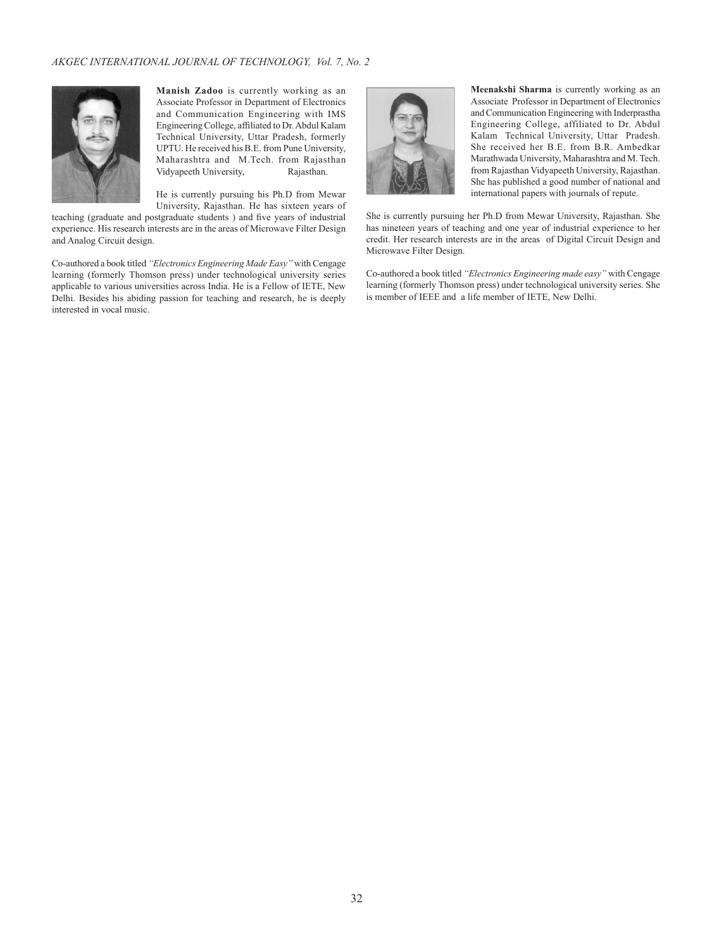

**Manish Zadoo** is currently working as an Associate Professor in Department of Electronics and Communication Engineering with IMS Engineering College, affiliated to Dr. Abdul Kalam Technical University, Uttar Pradesh, formerly UPTU. He received his B.E. from Pune University, Maharashtra and M.Tech. from Rajasthan<br>Vidyapeeth University, Rajasthan. Vidyapeeth University,

He is currently pursuing his Ph.D from Mewar University, Rajasthan. He has sixteen years of

teaching (graduate and postgraduate students ) and five years of industrial experience. His research interests are in the areas of Microwave Filter Design and Analog Circuit design.

Co-authored a book titled *"Electronics Engineering Made Easy"* with Cengage learning (formerly Thomson press) under technological university series applicable to various universities across India. He is a Fellow of IETE, New Delhi. Besides his abiding passion for teaching and research, he is deeply interested in vocal music.



**Meenakshi Sharma** is currently working as an Associate Professor in Department of Electronics and Communication Engineering with Inderprastha Engineering College, affiliated to Dr. Abdul Kalam Technical University, Uttar Pradesh. She received her B.E. from B.R. Ambedkar Marathwada University, Maharashtra and M. Tech. from Rajasthan Vidyapeeth University, Rajasthan. She has published a good number of national and international papers with journals of repute.

She is currently pursuing her Ph.D from Mewar University, Rajasthan. She has nineteen years of teaching and one year of industrial experience to her credit. Her research interests are in the areas of Digital Circuit Design and Microwave Filter Design.

Co-authored a book titled *"Electronics Engineering made easy"* with Cengage learning (formerly Thomson press) under technological university series. She is member of IEEE and a life member of IETE, New Delhi.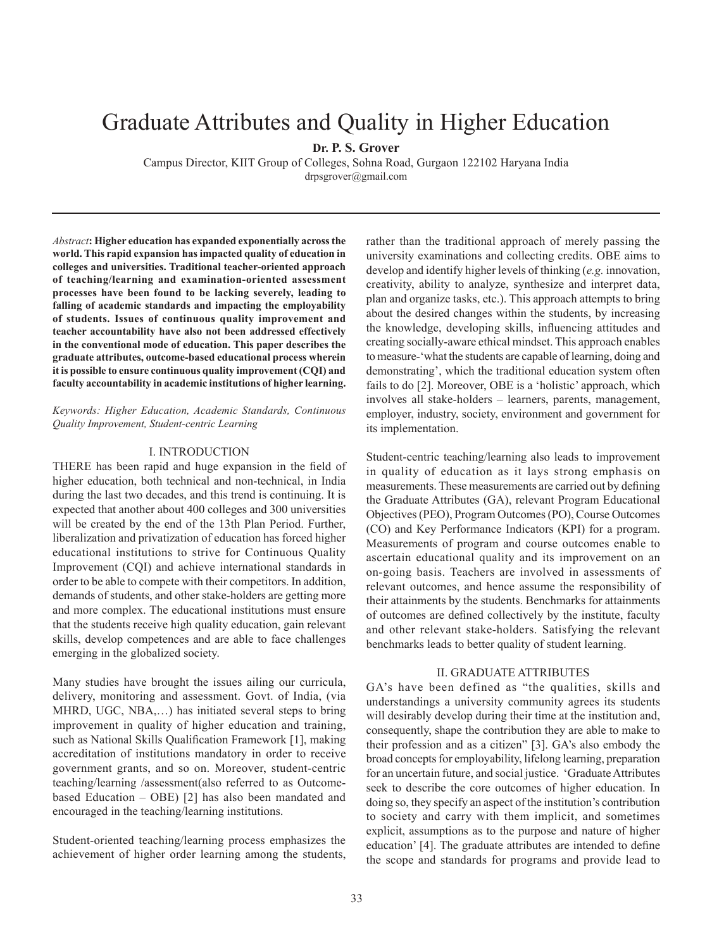# Graduate Attributes and Quality in Higher Education

**Dr. P. S. Grover**

Campus Director, KIIT Group of Colleges, Sohna Road, Gurgaon 122102 Haryana India drpsgrover@gmail.com

*Abstract***: Higher education has expanded exponentially across the world. This rapid expansion has impacted quality of education in colleges and universities. Traditional teacher-oriented approach of teaching/learning and examination-oriented assessment processes have been found to be lacking severely, leading to falling of academic standards and impacting the employability of students. Issues of continuous quality improvement and teacher accountability have also not been addressed effectively in the conventional mode of education. This paper describes the graduate attributes, outcome-based educational process wherein it is possible to ensure continuous quality improvement (CQI) and faculty accountability in academic institutions of higher learning.**

*Keywords: Higher Education, Academic Standards, Continuous Quality Improvement, Student-centric Learning* 

#### I. INTRODUCTION

THERE has been rapid and huge expansion in the field of higher education, both technical and non-technical, in India during the last two decades, and this trend is continuing. It is expected that another about 400 colleges and 300 universities will be created by the end of the 13th Plan Period. Further, liberalization and privatization of education has forced higher educational institutions to strive for Continuous Quality Improvement (CQI) and achieve international standards in order to be able to compete with their competitors. In addition, demands of students, and other stake-holders are getting more and more complex. The educational institutions must ensure that the students receive high quality education, gain relevant skills, develop competences and are able to face challenges emerging in the globalized society.

Many studies have brought the issues ailing our curricula, delivery, monitoring and assessment. Govt. of India, (via MHRD, UGC, NBA,…) has initiated several steps to bring improvement in quality of higher education and training, such as National Skills Qualification Framework [1], making accreditation of institutions mandatory in order to receive government grants, and so on. Moreover, student-centric teaching/learning /assessment(also referred to as Outcomebased Education – OBE) [2] has also been mandated and encouraged in the teaching/learning institutions.

Student-oriented teaching/learning process emphasizes the achievement of higher order learning among the students, rather than the traditional approach of merely passing the university examinations and collecting credits. OBE aims to develop and identify higher levels of thinking (*e.g.* innovation, creativity, ability to analyze, synthesize and interpret data, plan and organize tasks, etc.). This approach attempts to bring about the desired changes within the students, by increasing the knowledge, developing skills, influencing attitudes and creating socially-aware ethical mindset. This approach enables to measure-'what the students are capable of learning, doing and demonstrating', which the traditional education system often fails to do [2]. Moreover, OBE is a 'holistic' approach, which involves all stake-holders – learners, parents, management, employer, industry, society, environment and government for its implementation.

Student-centric teaching/learning also leads to improvement in quality of education as it lays strong emphasis on measurements. These measurements are carried out by defining the Graduate Attributes (GA), relevant Program Educational Objectives (PEO), Program Outcomes (PO), Course Outcomes (CO) and Key Performance Indicators (KPI) for a program. Measurements of program and course outcomes enable to ascertain educational quality and its improvement on an on-going basis. Teachers are involved in assessments of relevant outcomes, and hence assume the responsibility of their attainments by the students. Benchmarks for attainments of outcomes are defined collectively by the institute, faculty and other relevant stake-holders. Satisfying the relevant benchmarks leads to better quality of student learning.

#### II. GRADUATE ATTRIBUTES

GA's have been defined as "the qualities, skills and understandings a university community agrees its students will desirably develop during their time at the institution and, consequently, shape the contribution they are able to make to their profession and as a citizen" [3]. GA's also embody the broad concepts for employability, lifelong learning, preparation for an uncertain future, and social justice. 'Graduate Attributes seek to describe the core outcomes of higher education. In doing so, they specify an aspect of the institution's contribution to society and carry with them implicit, and sometimes explicit, assumptions as to the purpose and nature of higher education' [4]. The graduate attributes are intended to define the scope and standards for programs and provide lead to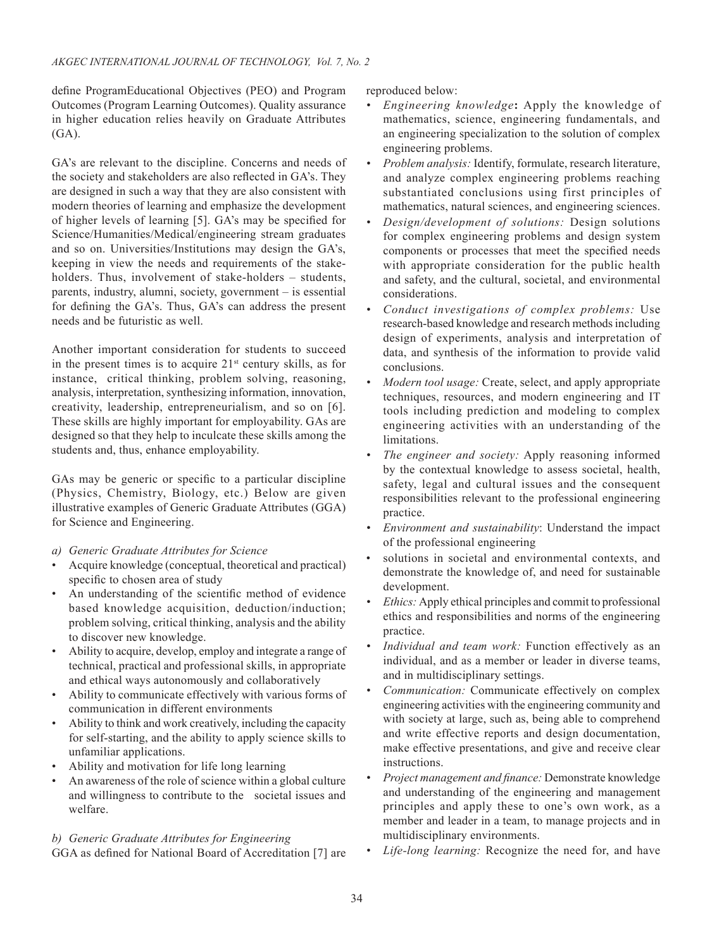define ProgramEducational Objectives (PEO) and Program Outcomes (Program Learning Outcomes). Quality assurance in higher education relies heavily on Graduate Attributes (GA).

GA's are relevant to the discipline. Concerns and needs of the society and stakeholders are also reflected in GA's. They are designed in such a way that they are also consistent with modern theories of learning and emphasize the development of higher levels of learning [5]. GA's may be specified for Science/Humanities/Medical/engineering stream graduates and so on. Universities/Institutions may design the GA's, keeping in view the needs and requirements of the stakeholders. Thus, involvement of stake-holders – students, parents, industry, alumni, society, government – is essential for defining the GA's. Thus, GA's can address the present needs and be futuristic as well.

Another important consideration for students to succeed in the present times is to acquire  $21<sup>st</sup>$  century skills, as for instance, critical thinking, problem solving, reasoning, analysis, interpretation, synthesizing information, innovation, creativity, leadership, entrepreneurialism, and so on [6]. These skills are highly important for employability. GAs are designed so that they help to inculcate these skills among the students and, thus, enhance employability.

GAs may be generic or specific to a particular discipline (Physics, Chemistry, Biology, etc.) Below are given illustrative examples of Generic Graduate Attributes (GGA) for Science and Engineering.

- *a) Generic Graduate Attributes for Science*
- Acquire knowledge (conceptual, theoretical and practical) specific to chosen area of study
- An understanding of the scientific method of evidence based knowledge acquisition, deduction/induction; problem solving, critical thinking, analysis and the ability to discover new knowledge.
- Ability to acquire, develop, employ and integrate a range of technical, practical and professional skills, in appropriate and ethical ways autonomously and collaboratively
- Ability to communicate effectively with various forms of communication in different environments
- Ability to think and work creatively, including the capacity for self-starting, and the ability to apply science skills to unfamiliar applications.
- Ability and motivation for life long learning
- An awareness of the role of science within a global culture and willingness to contribute to the societal issues and welfare.

## *b) Generic Graduate Attributes for Engineering*

GGA as defined for National Board of Accreditation [7] are

reproduced below:

- *• Engineering knowledge***:** Apply the knowledge of mathematics, science, engineering fundamentals, and an engineering specialization to the solution of complex engineering problems.
- *• Problem analysis:* Identify, formulate, research literature, and analyze complex engineering problems reaching substantiated conclusions using first principles of mathematics, natural sciences, and engineering sciences.
- *• Design/development of solutions:* Design solutions for complex engineering problems and design system components or processes that meet the specified needs with appropriate consideration for the public health and safety, and the cultural, societal, and environmental considerations.
- *• Conduct investigations of complex problems:* Use research-based knowledge and research methods including design of experiments, analysis and interpretation of data, and synthesis of the information to provide valid conclusions.
- *• Modern tool usage:* Create, select, and apply appropriate techniques, resources, and modern engineering and IT tools including prediction and modeling to complex engineering activities with an understanding of the limitations.
- *• The engineer and society:* Apply reasoning informed by the contextual knowledge to assess societal, health, safety, legal and cultural issues and the consequent responsibilities relevant to the professional engineering practice.
- *• Environment and sustainability*: Understand the impact of the professional engineering
- solutions in societal and environmental contexts, and demonstrate the knowledge of, and need for sustainable development.
- *<i>Ethics*: Apply ethical principles and commit to professional ethics and responsibilities and norms of the engineering practice.
- *• Individual and team work:* Function effectively as an individual, and as a member or leader in diverse teams, and in multidisciplinary settings.
- *• Communication:* Communicate effectively on complex engineering activities with the engineering community and with society at large, such as, being able to comprehend and write effective reports and design documentation, make effective presentations, and give and receive clear instructions.
- *• Project management and finance:* Demonstrate knowledge and understanding of the engineering and management principles and apply these to one's own work, as a member and leader in a team, to manage projects and in multidisciplinary environments.
- *• Life-long learning:* Recognize the need for, and have